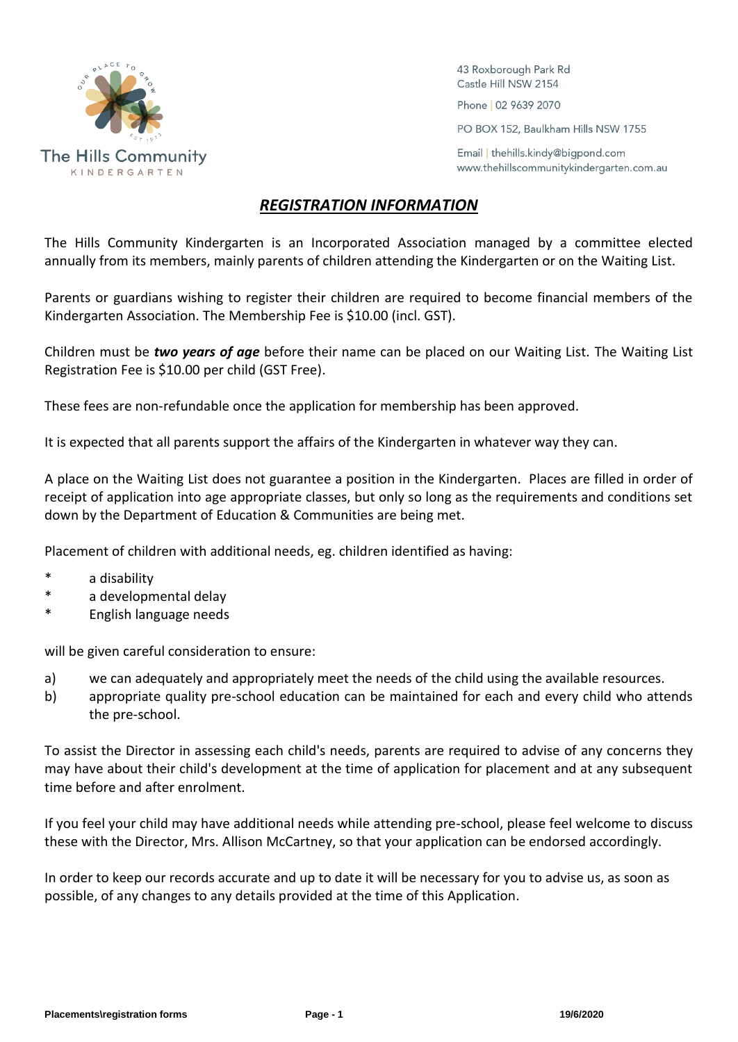

43 Roxborough Park Rd Castle Hill NSW 2154 Phone | 02 9639 2070

PO BOX 152, Baulkham Hills NSW 1755

Email | thehills.kindy@bigpond.com www.thehillscommunitykindergarten.com.au

## *REGISTRATION INFORMATION*

The Hills Community Kindergarten is an Incorporated Association managed by a committee elected annually from its members, mainly parents of children attending the Kindergarten or on the Waiting List.

Parents or guardians wishing to register their children are required to become financial members of the Kindergarten Association. The Membership Fee is \$10.00 (incl. GST).

Children must be *two years of age* before their name can be placed on our Waiting List. The Waiting List Registration Fee is \$10.00 per child (GST Free).

These fees are non-refundable once the application for membership has been approved.

It is expected that all parents support the affairs of the Kindergarten in whatever way they can.

A place on the Waiting List does not guarantee a position in the Kindergarten. Places are filled in order of receipt of application into age appropriate classes, but only so long as the requirements and conditions set down by the Department of Education & Communities are being met.

Placement of children with additional needs, eg. children identified as having:

- a disability
- \* a developmental delay
- \* English language needs

will be given careful consideration to ensure:

- a) we can adequately and appropriately meet the needs of the child using the available resources.
- b) appropriate quality pre-school education can be maintained for each and every child who attends the pre-school.

To assist the Director in assessing each child's needs, parents are required to advise of any concerns they may have about their child's development at the time of application for placement and at any subsequent time before and after enrolment.

If you feel your child may have additional needs while attending pre-school, please feel welcome to discuss these with the Director, Mrs. Allison McCartney, so that your application can be endorsed accordingly.

In order to keep our records accurate and up to date it will be necessary for you to advise us, as soon as possible, of any changes to any details provided at the time of this Application.